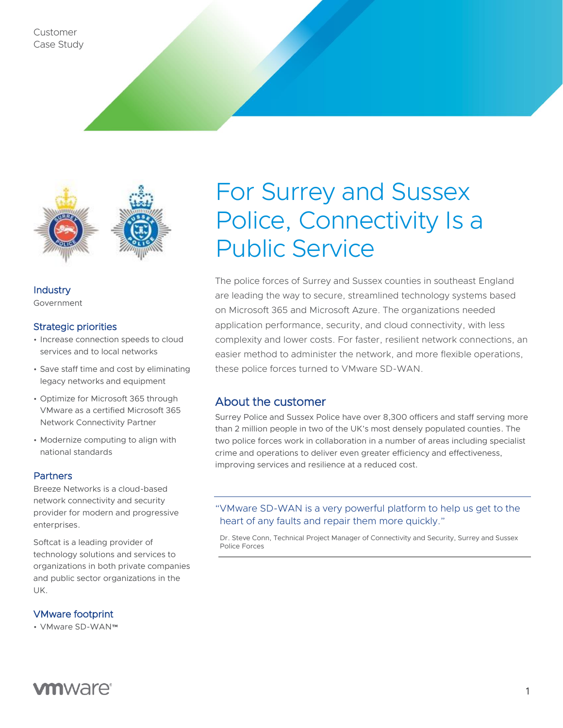Customer Case Study



**Industry** Government

#### Strategic priorities

- Increase connection speeds to cloud services and to local networks
- Save staff time and cost by eliminating legacy networks and equipment
- Optimize for Microsoft 365 through VMware as a certified Microsoft 365 Network Connectivity Partner
- Modernize computing to align with national standards

### **Partners**

Breeze Networks is a cloud-based network connectivity and security provider for modern and progressive enterprises.

Softcat is a leading provider of technology solutions and services to organizations in both private companies and public sector organizations in the UK.

VMware footprint

• VMware SD-WAN™

# For Surrey and Sussex Police, Connectivity Is a Public Service

The police forces of Surrey and Sussex counties in southeast England are leading the way to secure, streamlined technology systems based on Microsoft 365 and Microsoft Azure. The organizations needed application performance, security, and cloud connectivity, with less complexity and lower costs. For faster, resilient network connections, an easier method to administer the network, and more flexible operations, these police forces turned to VMware SD-WAN.

## About the customer

Surrey Police and Sussex Police have over 8,300 officers and staff serving more than 2 million people in two of the UK's most densely populated counties. The two police forces work in collaboration in a number of areas including specialist crime and operations to deliver even greater efficiency and effectiveness, improving services and resilience at a reduced cost.

## "VMware SD-WAN is a very powerful platform to help us get to the heart of any faults and repair them more quickly."

Dr. Steve Conn, Technical Project Manager of Connectivity and Security, Surrey and Sussex Police Forces

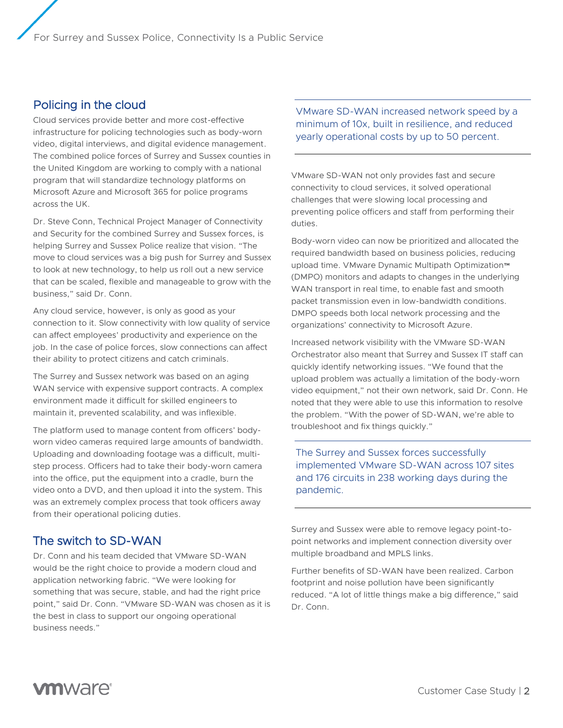# Policing in the cloud

Cloud services provide better and more cost-effective infrastructure for policing technologies such as body-worn video, digital interviews, and digital evidence management. The combined police forces of Surrey and Sussex counties in the United Kingdom are working to comply with a national program that will standardize technology platforms on Microsoft Azure and Microsoft 365 for police programs across the UK.

Dr. Steve Conn, Technical Project Manager of Connectivity and Security for the combined Surrey and Sussex forces, is helping Surrey and Sussex Police realize that vision. "The move to cloud services was a big push for Surrey and Sussex to look at new technology, to help us roll out a new service that can be scaled, flexible and manageable to grow with the business," said Dr. Conn.

Any cloud service, however, is only as good as your connection to it. Slow connectivity with low quality of service can affect employees' productivity and experience on the job. In the case of police forces, slow connections can affect their ability to protect citizens and catch criminals.

The Surrey and Sussex network was based on an aging WAN service with expensive support contracts. A complex environment made it difficult for skilled engineers to maintain it, prevented scalability, and was inflexible.

The platform used to manage content from officers' bodyworn video cameras required large amounts of bandwidth. Uploading and downloading footage was a difficult, multistep process. Officers had to take their body-worn camera into the office, put the equipment into a cradle, burn the video onto a DVD, and then upload it into the system. This was an extremely complex process that took officers away from their operational policing duties.

# The switch to SD-WAN

Dr. Conn and his team decided that VMware SD-WAN would be the right choice to provide a modern cloud and application networking fabric. "We were looking for something that was secure, stable, and had the right price point," said Dr. Conn. "VMware SD-WAN was chosen as it is the best in class to support our ongoing operational business needs."

VMware SD-WAN increased network speed by a minimum of 10x, built in resilience, and reduced yearly operational costs by up to 50 percent.

VMware SD-WAN not only provides fast and secure connectivity to cloud services, it solved operational challenges that were slowing local processing and preventing police officers and staff from performing their duties.

Body-worn video can now be prioritized and allocated the required bandwidth based on business policies, reducing upload time. VMware Dynamic Multipath Optimization™ (DMPO) monitors and adapts to changes in the underlying WAN transport in real time, to enable fast and smooth packet transmission even in low-bandwidth conditions. DMPO speeds both local network processing and the organizations' connectivity to Microsoft Azure.

Increased network visibility with the VMware SD-WAN Orchestrator also meant that Surrey and Sussex IT staff can quickly identify networking issues. "We found that the upload problem was actually a limitation of the body-worn video equipment," not their own network, said Dr. Conn. He noted that they were able to use this information to resolve the problem. "With the power of SD-WAN, we're able to troubleshoot and fix things quickly."

The Surrey and Sussex forces successfully implemented VMware SD-WAN across 107 sites and 176 circuits in 238 working days during the pandemic.

Surrey and Sussex were able to remove legacy point-topoint networks and implement connection diversity over multiple broadband and MPLS links.

Further benefits of SD-WAN have been realized. Carbon footprint and noise pollution have been significantly reduced. "A lot of little things make a big difference," said Dr. Conn.